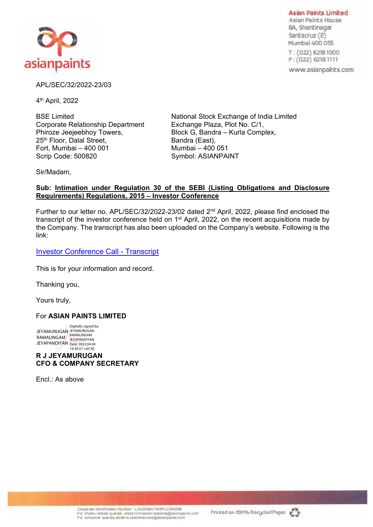

**Asian Paints** Limited **Asian Paints House**  6A, Shantinagar Santacruz (E) **Mumbai** 400 055

**T** : ( **012) 62181000 F:{022) 62181111** 

www .asianpaints.com

## APL/SEC/32/2022-23/03

4th April, 2022

Corporate Relationship Department Exchange Plaza, Plot No. C/1, Phiroze Jeejeebhoy Towers, Block G, Bandra – Kurla Complex, 25<sup>th</sup> Floor, Dalal Street, Bandra (East), Bandra (East), Bandra (East), Bandra (East), Bandra (East), Bandra (East), B Fort, Mumbai  $-400001$ Scrip Code: 500820 Symbol: ASIANPAINT

BSE Limited **National Stock Exchange of India Limited** 

Sir/Madam,

## **Sub: Intimation under Regulation 30 of the SEBI (Listing Obligations and Disclosure Requirements) Regulations, 2015 – Investor Conference**

Further to our letter no. APL/SEC/32/2022-23/02 dated 2<sup>nd</sup> April, 2022, please find enclosed the transcript of the investor conference held on 1<sup>st</sup> April, 2022, on the recent acquisitions made by the Company. The transcript has also been uploaded on the Company's website. Following is the link:

[Investor Conference Call - Transcript](https://www.asianpaints.com/content/dam/asianpaints/website/secondary-navigation/investors/analyst-presentations-2/Transcript%20-%20Investor%20Call%20-%2001042022.pdf)

This is for your information and record.

Thanking you,

Yours truly,

## For **ASIAN PAINTS LIMITED**

RAMALINGAM JEYAPANDIYAN Date: 2022.04.04 Digitally signed by JEYAMURUGAN<br>RAMALINGAM<br>JEYAPANDIYAN 19:39:37 +05'30'

**R J JEYAMURUGAN CFO & COMPANY SECRETARY**  FRAMURICAN PROMUNES<br>
FRAMURICAN PRINCIPALS<br>
FRAMURICAN PRINCIPALS<br> **RIJEYAMURUGAN<br>
FIG.: AS above**<br>
Concass Kansteria Runner<br>
Concass Kansteria Runner<br>
Concass Kansteria Runner<br>
Concass Kansteria Runner<br>
Concass Kansteria

Encl.: As above

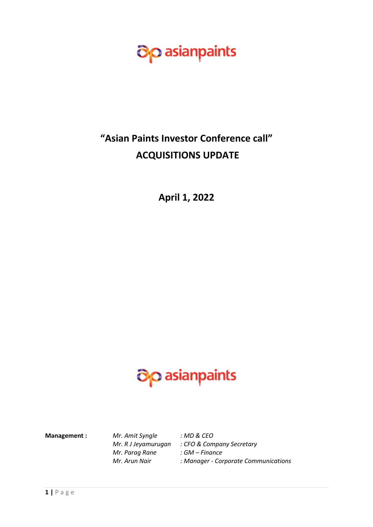

## **"Asian Paints Investor Conference call" ACQUISITIONS UPDATE**

**April 1, 2022**

# asianpaints

**Management :** *Mr. Amit Syngle : MD & CEO Mr. Parag Rane : GM – Finance* 

*Mr. R J Jeyamurugan : CFO & Company Secretary Mr. Arun Nair : Manager - Corporate Communications*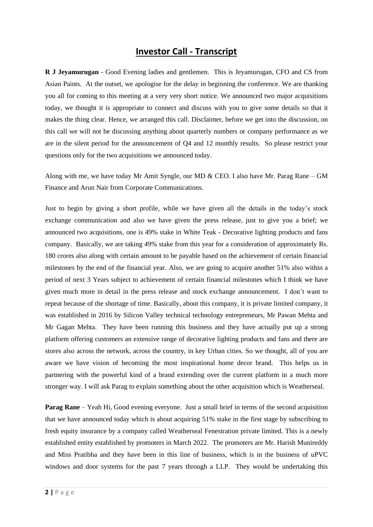## **Investor Call - Transcript**

**R J Jeyamurugan** - Good Evening ladies and gentlemen. This is Jeyamurugan, CFO and CS from Asian Paints. At the outset, we apologise for the delay in beginning the conference. We are thanking you all for coming to this meeting at a very very short notice. We announced two major acquisitions today, we thought it is appropriate to connect and discuss with you to give some details so that it makes the thing clear. Hence, we arranged this call. Disclaimer, before we get into the discussion, on this call we will not be discussing anything about quarterly numbers or company performance as we are in the silent period for the announcement of Q4 and 12 monthly results. So please restrict your questions only for the two acquisitions we announced today.

Along with me, we have today Mr Amit Syngle, our MD & CEO. I also have Mr. Parag Rane – GM Finance and Arun Nair from Corporate Communications.

Just to begin by giving a short profile, while we have given all the details in the today's stock exchange communication and also we have given the press release, just to give you a brief; we announced two acquisitions, one is 49% stake in White Teak - Decorative lighting products and fans company. Basically, we are taking 49% stake from this year for a consideration of approximately Rs. 180 crores also along with certain amount to be payable based on the achievement of certain financial milestones by the end of the financial year. Also, we are going to acquire another 51% also within a period of next 3 Years subject to achievement of certain financial milestones which I think we have given much more in detail in the press release and stock exchange announcement. I don't want to repeat because of the shortage of time. Basically, about this company, it is private limited company, it was established in 2016 by Silicon Valley technical technology entrepreneurs, Mr Pawan Mehta and Mr Gagan Mehta. They have been running this business and they have actually put up a strong platform offering customers an extensive range of decorative lighting products and fans and there are stores also across the network, across the country, in key Urban cities. So we thought, all of you are aware we have vision of becoming the most inspirational home decor brand. This helps us in partnering with the powerful kind of a brand extending over the current platform in a much more stronger way. I will ask Parag to explain something about the other acquisition which is Weatherseal.

**Parag Rane** – Yeah Hi, Good evening everyone. Just a small brief in terms of the second acquisition that we have announced today which is about acquiring 51% stake in the first stage by subscribing to fresh equity insurance by a company called Weatherseal Fenestration private limited. This is a newly established entity established by promoters in March 2022. The promoters are Mr. Harish Munireddy and Miss Pratibha and they have been in this line of business, which is in the business of uPVC windows and door systems for the past 7 years through a LLP. They would be undertaking this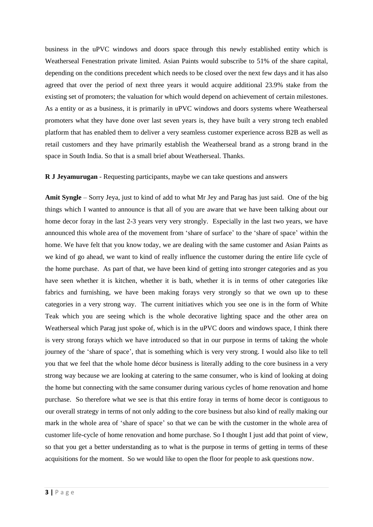business in the uPVC windows and doors space through this newly established entity which is Weatherseal Fenestration private limited. Asian Paints would subscribe to 51% of the share capital, depending on the conditions precedent which needs to be closed over the next few days and it has also agreed that over the period of next three years it would acquire additional 23.9% stake from the existing set of promoters; the valuation for which would depend on achievement of certain milestones. As a entity or as a business, it is primarily in uPVC windows and doors systems where Weatherseal promoters what they have done over last seven years is, they have built a very strong tech enabled platform that has enabled them to deliver a very seamless customer experience across B2B as well as retail customers and they have primarily establish the Weatherseal brand as a strong brand in the space in South India. So that is a small brief about Weatherseal. Thanks.

## **R J Jeyamurugan** - Requesting participants, maybe we can take questions and answers

**Amit Syngle** – Sorry Jeya, just to kind of add to what Mr Jey and Parag has just said. One of the big things which I wanted to announce is that all of you are aware that we have been talking about our home decor foray in the last 2-3 years very very strongly. Especially in the last two years, we have announced this whole area of the movement from 'share of surface' to the 'share of space' within the home. We have felt that you know today, we are dealing with the same customer and Asian Paints as we kind of go ahead, we want to kind of really influence the customer during the entire life cycle of the home purchase. As part of that, we have been kind of getting into stronger categories and as you have seen whether it is kitchen, whether it is bath, whether it is in terms of other categories like fabrics and furnishing, we have been making forays very strongly so that we own up to these categories in a very strong way. The current initiatives which you see one is in the form of White Teak which you are seeing which is the whole decorative lighting space and the other area on Weatherseal which Parag just spoke of, which is in the uPVC doors and windows space, I think there is very strong forays which we have introduced so that in our purpose in terms of taking the whole journey of the 'share of space', that is something which is very very strong. I would also like to tell you that we feel that the whole home décor business is literally adding to the core business in a very strong way because we are looking at catering to the same consumer, who is kind of looking at doing the home but connecting with the same consumer during various cycles of home renovation and home purchase. So therefore what we see is that this entire foray in terms of home decor is contiguous to our overall strategy in terms of not only adding to the core business but also kind of really making our mark in the whole area of 'share of space' so that we can be with the customer in the whole area of customer life-cycle of home renovation and home purchase. So I thought I just add that point of view, so that you get a better understanding as to what is the purpose in terms of getting in terms of these acquisitions for the moment. So we would like to open the floor for people to ask questions now.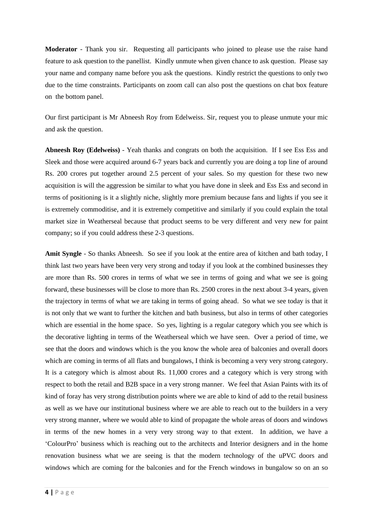**Moderator** - Thank you sir. Requesting all participants who joined to please use the raise hand feature to ask question to the panellist. Kindly unmute when given chance to ask question. Please say your name and company name before you ask the questions. Kindly restrict the questions to only two due to the time constraints. Participants on zoom call can also post the questions on chat box feature on the bottom panel.

Our first participant is Mr Abneesh Roy from Edelweiss. Sir, request you to please unmute your mic and ask the question.

**Abneesh Roy (Edelweiss)** - Yeah thanks and congrats on both the acquisition. If I see Ess Ess and Sleek and those were acquired around 6-7 years back and currently you are doing a top line of around Rs. 200 crores put together around 2.5 percent of your sales. So my question for these two new acquisition is will the aggression be similar to what you have done in sleek and Ess Ess and second in terms of positioning is it a slightly niche, slightly more premium because fans and lights if you see it is extremely commoditise, and it is extremely competitive and similarly if you could explain the total market size in Weatherseal because that product seems to be very different and very new for paint company; so if you could address these 2-3 questions.

**Amit Syngle** - So thanks Abneesh. So see if you look at the entire area of kitchen and bath today, I think last two years have been very very strong and today if you look at the combined businesses they are more than Rs. 500 crores in terms of what we see in terms of going and what we see is going forward, these businesses will be close to more than Rs. 2500 crores in the next about 3-4 years, given the trajectory in terms of what we are taking in terms of going ahead. So what we see today is that it is not only that we want to further the kitchen and bath business, but also in terms of other categories which are essential in the home space. So yes, lighting is a regular category which you see which is the decorative lighting in terms of the Weatherseal which we have seen. Over a period of time, we see that the doors and windows which is the you know the whole area of balconies and overall doors which are coming in terms of all flats and bungalows, I think is becoming a very very strong category. It is a category which is almost about Rs. 11,000 crores and a category which is very strong with respect to both the retail and B2B space in a very strong manner. We feel that Asian Paints with its of kind of foray has very strong distribution points where we are able to kind of add to the retail business as well as we have our institutional business where we are able to reach out to the builders in a very very strong manner, where we would able to kind of propagate the whole areas of doors and windows in terms of the new homes in a very very strong way to that extent. In addition, we have a 'ColourPro' business which is reaching out to the architects and Interior designers and in the home renovation business what we are seeing is that the modern technology of the uPVC doors and windows which are coming for the balconies and for the French windows in bungalow so on an so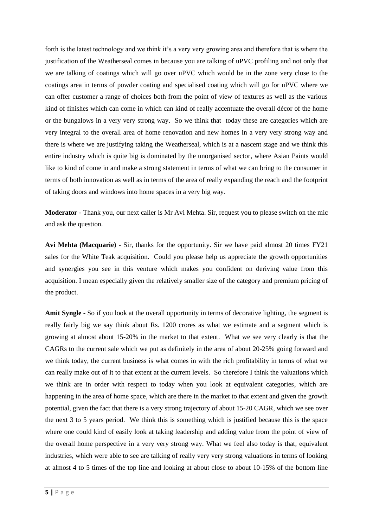forth is the latest technology and we think it's a very very growing area and therefore that is where the justification of the Weatherseal comes in because you are talking of uPVC profiling and not only that we are talking of coatings which will go over uPVC which would be in the zone very close to the coatings area in terms of powder coating and specialised coating which will go for uPVC where we can offer customer a range of choices both from the point of view of textures as well as the various kind of finishes which can come in which can kind of really accentuate the overall décor of the home or the bungalows in a very very strong way. So we think that today these are categories which are very integral to the overall area of home renovation and new homes in a very very strong way and there is where we are justifying taking the Weatherseal, which is at a nascent stage and we think this entire industry which is quite big is dominated by the unorganised sector, where Asian Paints would like to kind of come in and make a strong statement in terms of what we can bring to the consumer in terms of both innovation as well as in terms of the area of really expanding the reach and the footprint of taking doors and windows into home spaces in a very big way.

**Moderator** - Thank you, our next caller is Mr Avi Mehta. Sir, request you to please switch on the mic and ask the question.

**Avi Mehta (Macquarie)** - Sir, thanks for the opportunity. Sir we have paid almost 20 times FY21 sales for the White Teak acquisition. Could you please help us appreciate the growth opportunities and synergies you see in this venture which makes you confident on deriving value from this acquisition. I mean especially given the relatively smaller size of the category and premium pricing of the product.

**Amit Syngle** - So if you look at the overall opportunity in terms of decorative lighting, the segment is really fairly big we say think about Rs. 1200 crores as what we estimate and a segment which is growing at almost about 15-20% in the market to that extent. What we see very clearly is that the CAGRs to the current sale which we put as definitely in the area of about 20-25% going forward and we think today, the current business is what comes in with the rich profitability in terms of what we can really make out of it to that extent at the current levels. So therefore I think the valuations which we think are in order with respect to today when you look at equivalent categories, which are happening in the area of home space, which are there in the market to that extent and given the growth potential, given the fact that there is a very strong trajectory of about 15-20 CAGR, which we see over the next 3 to 5 years period. We think this is something which is justified because this is the space where one could kind of easily look at taking leadership and adding value from the point of view of the overall home perspective in a very very strong way. What we feel also today is that, equivalent industries, which were able to see are talking of really very very strong valuations in terms of looking at almost 4 to 5 times of the top line and looking at about close to about 10-15% of the bottom line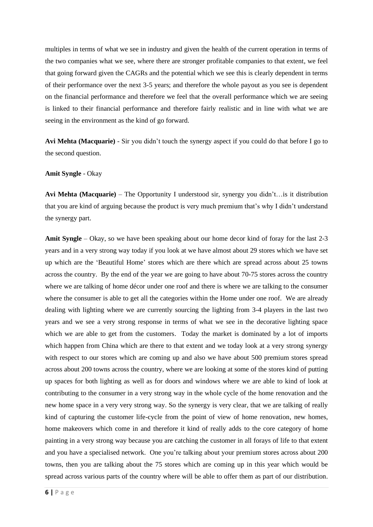multiples in terms of what we see in industry and given the health of the current operation in terms of the two companies what we see, where there are stronger profitable companies to that extent, we feel that going forward given the CAGRs and the potential which we see this is clearly dependent in terms of their performance over the next 3-5 years; and therefore the whole payout as you see is dependent on the financial performance and therefore we feel that the overall performance which we are seeing is linked to their financial performance and therefore fairly realistic and in line with what we are seeing in the environment as the kind of go forward.

**Avi Mehta (Macquarie)** - Sir you didn't touch the synergy aspect if you could do that before I go to the second question.

### **Amit Syngle** - Okay

**Avi Mehta (Macquarie)** – The Opportunity I understood sir, synergy you didn't…is it distribution that you are kind of arguing because the product is very much premium that's why I didn't understand the synergy part.

**Amit Syngle** – Okay, so we have been speaking about our home decor kind of foray for the last 2-3 years and in a very strong way today if you look at we have almost about 29 stores which we have set up which are the 'Beautiful Home' stores which are there which are spread across about 25 towns across the country. By the end of the year we are going to have about 70-75 stores across the country where we are talking of home décor under one roof and there is where we are talking to the consumer where the consumer is able to get all the categories within the Home under one roof. We are already dealing with lighting where we are currently sourcing the lighting from 3-4 players in the last two years and we see a very strong response in terms of what we see in the decorative lighting space which we are able to get from the customers. Today the market is dominated by a lot of imports which happen from China which are there to that extent and we today look at a very strong synergy with respect to our stores which are coming up and also we have about 500 premium stores spread across about 200 towns across the country, where we are looking at some of the stores kind of putting up spaces for both lighting as well as for doors and windows where we are able to kind of look at contributing to the consumer in a very strong way in the whole cycle of the home renovation and the new home space in a very very strong way. So the synergy is very clear, that we are talking of really kind of capturing the customer life-cycle from the point of view of home renovation, new homes, home makeovers which come in and therefore it kind of really adds to the core category of home painting in a very strong way because you are catching the customer in all forays of life to that extent and you have a specialised network. One you're talking about your premium stores across about 200 towns, then you are talking about the 75 stores which are coming up in this year which would be spread across various parts of the country where will be able to offer them as part of our distribution.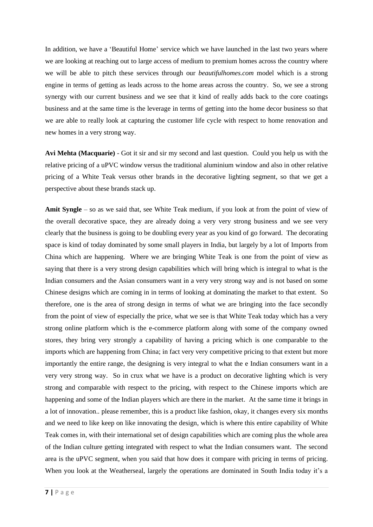In addition, we have a 'Beautiful Home' service which we have launched in the last two years where we are looking at reaching out to large access of medium to premium homes across the country where we will be able to pitch these services through our *beautifulhomes.com* model which is a strong engine in terms of getting as leads across to the home areas across the country. So, we see a strong synergy with our current business and we see that it kind of really adds back to the core coatings business and at the same time is the leverage in terms of getting into the home decor business so that we are able to really look at capturing the customer life cycle with respect to home renovation and new homes in a very strong way.

**Avi Mehta (Macquarie)** - Got it sir and sir my second and last question. Could you help us with the relative pricing of a uPVC window versus the traditional aluminium window and also in other relative pricing of a White Teak versus other brands in the decorative lighting segment, so that we get a perspective about these brands stack up.

**Amit Syngle** – so as we said that, see White Teak medium, if you look at from the point of view of the overall decorative space, they are already doing a very very strong business and we see very clearly that the business is going to be doubling every year as you kind of go forward. The decorating space is kind of today dominated by some small players in India, but largely by a lot of Imports from China which are happening. Where we are bringing White Teak is one from the point of view as saying that there is a very strong design capabilities which will bring which is integral to what is the Indian consumers and the Asian consumers want in a very very strong way and is not based on some Chinese designs which are coming in in terms of looking at dominating the market to that extent. So therefore, one is the area of strong design in terms of what we are bringing into the face secondly from the point of view of especially the price, what we see is that White Teak today which has a very strong online platform which is the e-commerce platform along with some of the company owned stores, they bring very strongly a capability of having a pricing which is one comparable to the imports which are happening from China; in fact very very competitive pricing to that extent but more importantly the entire range, the designing is very integral to what the e Indian consumers want in a very very strong way. So in crux what we have is a product on decorative lighting which is very strong and comparable with respect to the pricing, with respect to the Chinese imports which are happening and some of the Indian players which are there in the market. At the same time it brings in a lot of innovation.. please remember, this is a product like fashion, okay, it changes every six months and we need to like keep on like innovating the design, which is where this entire capability of White Teak comes in, with their international set of design capabilities which are coming plus the whole area of the Indian culture getting integrated with respect to what the Indian consumers want. The second area is the uPVC segment, when you said that how does it compare with pricing in terms of pricing. When you look at the Weatherseal, largely the operations are dominated in South India today it's a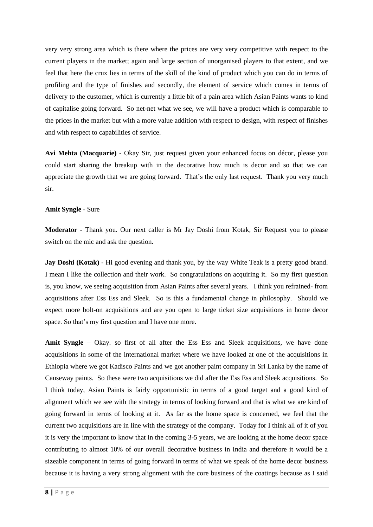very very strong area which is there where the prices are very very competitive with respect to the current players in the market; again and large section of unorganised players to that extent, and we feel that here the crux lies in terms of the skill of the kind of product which you can do in terms of profiling and the type of finishes and secondly, the element of service which comes in terms of delivery to the customer, which is currently a little bit of a pain area which Asian Paints wants to kind of capitalise going forward. So net-net what we see, we will have a product which is comparable to the prices in the market but with a more value addition with respect to design, with respect of finishes and with respect to capabilities of service.

**Avi Mehta (Macquarie)** - Okay Sir, just request given your enhanced focus on décor, please you could start sharing the breakup with in the decorative how much is decor and so that we can appreciate the growth that we are going forward. That's the only last request. Thank you very much sir.

## **Amit Syngle** - Sure

**Moderator** - Thank you. Our next caller is Mr Jay Doshi from Kotak, Sir Request you to please switch on the mic and ask the question.

**Jay Doshi (Kotak)** - Hi good evening and thank you, by the way White Teak is a pretty good brand. I mean I like the collection and their work. So congratulations on acquiring it. So my first question is, you know, we seeing acquisition from Asian Paints after several years. I think you refrained- from acquisitions after Ess Ess and Sleek. So is this a fundamental change in philosophy. Should we expect more bolt-on acquisitions and are you open to large ticket size acquisitions in home decor space. So that's my first question and I have one more.

**Amit Syngle** – Okay. so first of all after the Ess Ess and Sleek acquisitions, we have done acquisitions in some of the international market where we have looked at one of the acquisitions in Ethiopia where we got Kadisco Paints and we got another paint company in Sri Lanka by the name of Causeway paints. So these were two acquisitions we did after the Ess Ess and Sleek acquisitions. So I think today, Asian Paints is fairly opportunistic in terms of a good target and a good kind of alignment which we see with the strategy in terms of looking forward and that is what we are kind of going forward in terms of looking at it. As far as the home space is concerned, we feel that the current two acquisitions are in line with the strategy of the company. Today for I think all of it of you it is very the important to know that in the coming 3-5 years, we are looking at the home decor space contributing to almost 10% of our overall decorative business in India and therefore it would be a sizeable component in terms of going forward in terms of what we speak of the home decor business because it is having a very strong alignment with the core business of the coatings because as I said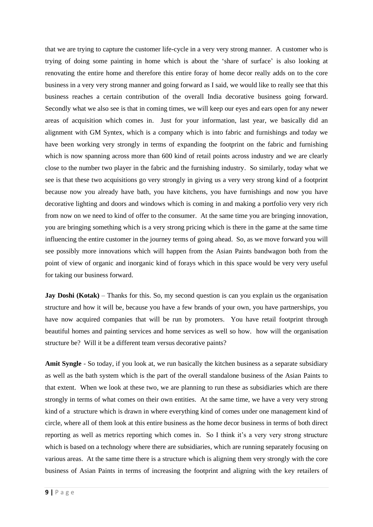that we are trying to capture the customer life-cycle in a very very strong manner. A customer who is trying of doing some painting in home which is about the 'share of surface' is also looking at renovating the entire home and therefore this entire foray of home decor really adds on to the core business in a very very strong manner and going forward as I said, we would like to really see that this business reaches a certain contribution of the overall India decorative business going forward. Secondly what we also see is that in coming times, we will keep our eyes and ears open for any newer areas of acquisition which comes in. Just for your information, last year, we basically did an alignment with GM Syntex, which is a company which is into fabric and furnishings and today we have been working very strongly in terms of expanding the footprint on the fabric and furnishing which is now spanning across more than 600 kind of retail points across industry and we are clearly close to the number two player in the fabric and the furnishing industry. So similarly, today what we see is that these two acquisitions go very strongly in giving us a very very strong kind of a footprint because now you already have bath, you have kitchens, you have furnishings and now you have decorative lighting and doors and windows which is coming in and making a portfolio very very rich from now on we need to kind of offer to the consumer. At the same time you are bringing innovation, you are bringing something which is a very strong pricing which is there in the game at the same time influencing the entire customer in the journey terms of going ahead. So, as we move forward you will see possibly more innovations which will happen from the Asian Paints bandwagon both from the point of view of organic and inorganic kind of forays which in this space would be very very useful for taking our business forward.

**Jay Doshi (Kotak)** – Thanks for this. So, my second question is can you explain us the organisation structure and how it will be, because you have a few brands of your own, you have partnerships, you have now acquired companies that will be run by promoters. You have retail footprint through beautiful homes and painting services and home services as well so how. how will the organisation structure be? Will it be a different team versus decorative paints?

**Amit Syngle** - So today, if you look at, we run basically the kitchen business as a separate subsidiary as well as the bath system which is the part of the overall standalone business of the Asian Paints to that extent. When we look at these two, we are planning to run these as subsidiaries which are there strongly in terms of what comes on their own entities. At the same time, we have a very very strong kind of a structure which is drawn in where everything kind of comes under one management kind of circle, where all of them look at this entire business as the home decor business in terms of both direct reporting as well as metrics reporting which comes in. So I think it's a very very strong structure which is based on a technology where there are subsidiaries, which are running separately focusing on various areas. At the same time there is a structure which is aligning them very strongly with the core business of Asian Paints in terms of increasing the footprint and aligning with the key retailers of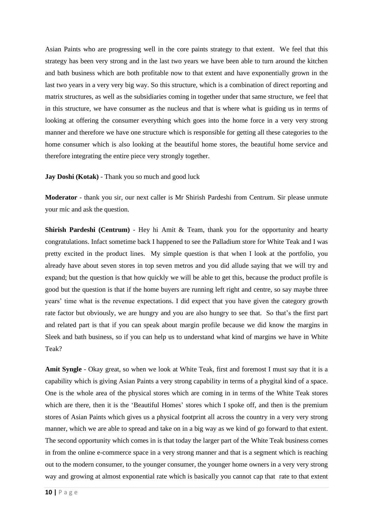Asian Paints who are progressing well in the core paints strategy to that extent. We feel that this strategy has been very strong and in the last two years we have been able to turn around the kitchen and bath business which are both profitable now to that extent and have exponentially grown in the last two years in a very very big way. So this structure, which is a combination of direct reporting and matrix structures, as well as the subsidiaries coming in together under that same structure, we feel that in this structure, we have consumer as the nucleus and that is where what is guiding us in terms of looking at offering the consumer everything which goes into the home force in a very very strong manner and therefore we have one structure which is responsible for getting all these categories to the home consumer which is also looking at the beautiful home stores, the beautiful home service and therefore integrating the entire piece very strongly together.

**Jay Doshi (Kotak)** - Thank you so much and good luck

**Moderator** - thank you sir, our next caller is Mr Shirish Pardeshi from Centrum. Sir please unmute your mic and ask the question.

**Shirish Pardeshi (Centrum)** - Hey hi Amit & Team, thank you for the opportunity and hearty congratulations. Infact sometime back I happened to see the Palladium store for White Teak and I was pretty excited in the product lines. My simple question is that when I look at the portfolio, you already have about seven stores in top seven metros and you did allude saying that we will try and expand; but the question is that how quickly we will be able to get this, because the product profile is good but the question is that if the home buyers are running left right and centre, so say maybe three years' time what is the revenue expectations. I did expect that you have given the category growth rate factor but obviously, we are hungry and you are also hungry to see that. So that's the first part and related part is that if you can speak about margin profile because we did know the margins in Sleek and bath business, so if you can help us to understand what kind of margins we have in White Teak?

**Amit Syngle** - Okay great, so when we look at White Teak, first and foremost I must say that it is a capability which is giving Asian Paints a very strong capability in terms of a phygital kind of a space. One is the whole area of the physical stores which are coming in in terms of the White Teak stores which are there, then it is the 'Beautiful Homes' stores which I spoke off, and then is the premium stores of Asian Paints which gives us a physical footprint all across the country in a very very strong manner, which we are able to spread and take on in a big way as we kind of go forward to that extent. The second opportunity which comes in is that today the larger part of the White Teak business comes in from the online e-commerce space in a very strong manner and that is a segment which is reaching out to the modern consumer, to the younger consumer, the younger home owners in a very very strong way and growing at almost exponential rate which is basically you cannot cap that rate to that extent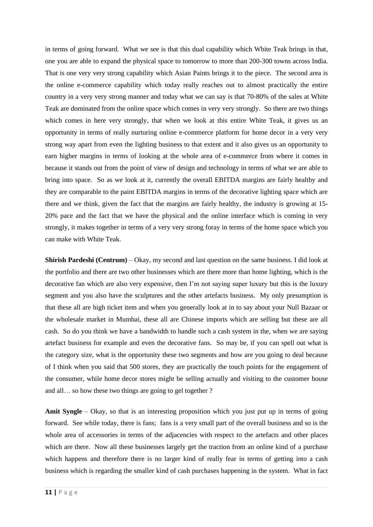in terms of going forward. What we see is that this dual capability which White Teak brings in that, one you are able to expand the physical space to tomorrow to more than 200-300 towns across India. That is one very very strong capability which Asian Paints brings it to the piece. The second area is the online e-commerce capability which today really reaches out to almost practically the entire country in a very very strong manner and today what we can say is that 70-80% of the sales at White Teak are dominated from the online space which comes in very very strongly. So there are two things which comes in here very strongly, that when we look at this entire White Teak, it gives us an opportunity in terms of really nurturing online e-commerce platform for home decor in a very very strong way apart from even the lighting business to that extent and it also gives us an opportunity to earn higher margins in terms of looking at the whole area of e-commerce from where it comes in because it stands out from the point of view of design and technology in terms of what we are able to bring into space. So as we look at it, currently the overall EBITDA margins are fairly healthy and they are comparable to the paint EBITDA margins in terms of the decorative lighting space which are there and we think, given the fact that the margins are fairly healthy, the industry is growing at 15- 20% pace and the fact that we have the physical and the online interface which is coming in very strongly, it makes together in terms of a very very strong foray in terms of the home space which you can make with White Teak.

**Shirish Pardeshi (Centrum)** – Okay, my second and last question on the same business. I did look at the portfolio and there are two other businesses which are there more than home lighting, which is the decorative fan which are also very expensive, then I'm not saying super luxury but this is the luxury segment and you also have the sculptures and the other artefacts business. My only presumption is that these all are high ticket item and when you generally look at in to say about your Null Bazaar or the wholesale market in Mumbai, these all are Chinese imports which are selling but these are all cash. So do you think we have a bandwidth to handle such a cash system in the, when we are saying artefact business for example and even the decorative fans. So may be, if you can spell out what is the category size, what is the opportunity these two segments and how are you going to deal because of I think when you said that 500 stores, they are practically the touch points for the engagement of the consumer, while home decor stores might be selling actually and visiting to the customer house and all… so how these two things are going to gel together ?

**Amit Syngle** – Okay, so that is an interesting proposition which you just put up in terms of going forward. See while today, there is fans; fans is a very small part of the overall business and so is the whole area of accessories in terms of the adjacencies with respect to the artefacts and other places which are there. Now all these businesses largely get the traction from an online kind of a purchase which happens and therefore there is no larger kind of really fear in terms of getting into a cash business which is regarding the smaller kind of cash purchases happening in the system. What in fact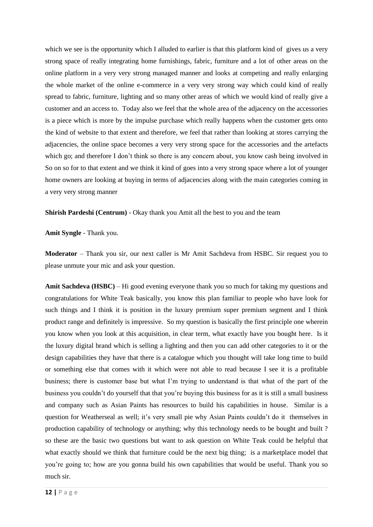which we see is the opportunity which I alluded to earlier is that this platform kind of gives us a very strong space of really integrating home furnishings, fabric, furniture and a lot of other areas on the online platform in a very very strong managed manner and looks at competing and really enlarging the whole market of the online e-commerce in a very very strong way which could kind of really spread to fabric, furniture, lighting and so many other areas of which we would kind of really give a customer and an access to. Today also we feel that the whole area of the adjacency on the accessories is a piece which is more by the impulse purchase which really happens when the customer gets onto the kind of website to that extent and therefore, we feel that rather than looking at stores carrying the adjacencies, the online space becomes a very very strong space for the accessories and the artefacts which go; and therefore I don't think so there is any concern about, you know cash being involved in So on so for to that extent and we think it kind of goes into a very strong space where a lot of younger home owners are looking at buying in terms of adjacencies along with the main categories coming in a very very strong manner

**Shirish Pardeshi (Centrum)** - Okay thank you Amit all the best to you and the team

**Amit Syngle** - Thank you.

**Moderator** – Thank you sir, our next caller is Mr Amit Sachdeva from HSBC. Sir request you to please unmute your mic and ask your question.

**Amit Sachdeva (HSBC)** – Hi good evening everyone thank you so much for taking my questions and congratulations for White Teak basically, you know this plan familiar to people who have look for such things and I think it is position in the luxury premium super premium segment and I think product range and definitely is impressive. So my question is basically the first principle one wherein you know when you look at this acquisition, in clear term, what exactly have you bought here. Is it the luxury digital brand which is selling a lighting and then you can add other categories to it or the design capabilities they have that there is a catalogue which you thought will take long time to build or something else that comes with it which were not able to read because I see it is a profitable business; there is customer base but what I'm trying to understand is that what of the part of the business you couldn't do yourself that that you're buying this business for as it is still a small business and company such as Asian Paints has resources to build his capabilities in house. Similar is a question for Weatherseal as well; it's very small pie why Asian Paints couldn't do it themselves in production capability of technology or anything; why this technology needs to be bought and built ? so these are the basic two questions but want to ask question on White Teak could be helpful that what exactly should we think that furniture could be the next big thing; is a marketplace model that you're going to; how are you gonna build his own capabilities that would be useful. Thank you so much sir.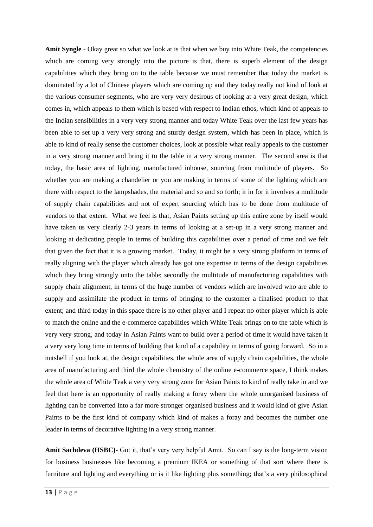**Amit Syngle** - Okay great so what we look at is that when we buy into White Teak, the competencies which are coming very strongly into the picture is that, there is superb element of the design capabilities which they bring on to the table because we must remember that today the market is dominated by a lot of Chinese players which are coming up and they today really not kind of look at the various consumer segments, who are very very desirous of looking at a very great design, which comes in, which appeals to them which is based with respect to Indian ethos, which kind of appeals to the Indian sensibilities in a very very strong manner and today White Teak over the last few years has been able to set up a very very strong and sturdy design system, which has been in place, which is able to kind of really sense the customer choices, look at possible what really appeals to the customer in a very strong manner and bring it to the table in a very strong manner. The second area is that today, the basic area of lighting, manufactured inhouse, sourcing from multitude of players. So whether you are making a chandelier or you are making in terms of some of the lighting which are there with respect to the lampshades, the material and so and so forth; it in for it involves a multitude of supply chain capabilities and not of expert sourcing which has to be done from multitude of vendors to that extent. What we feel is that, Asian Paints setting up this entire zone by itself would have taken us very clearly 2-3 years in terms of looking at a set-up in a very strong manner and looking at dedicating people in terms of building this capabilities over a period of time and we felt that given the fact that it is a growing market. Today, it might be a very strong platform in terms of really aligning with the player which already has got one expertise in terms of the design capabilities which they bring strongly onto the table; secondly the multitude of manufacturing capabilities with supply chain alignment, in terms of the huge number of vendors which are involved who are able to supply and assimilate the product in terms of bringing to the customer a finalised product to that extent; and third today in this space there is no other player and I repeat no other player which is able to match the online and the e-commerce capabilities which White Teak brings on to the table which is very very strong, and today in Asian Paints want to build over a period of time it would have taken it a very very long time in terms of building that kind of a capability in terms of going forward. So in a nutshell if you look at, the design capabilities, the whole area of supply chain capabilities, the whole area of manufacturing and third the whole chemistry of the online e-commerce space, I think makes the whole area of White Teak a very very strong zone for Asian Paints to kind of really take in and we feel that here is an opportunity of really making a foray where the whole unorganised business of lighting can be converted into a far more stronger organised business and it would kind of give Asian Paints to be the first kind of company which kind of makes a foray and becomes the number one leader in terms of decorative lighting in a very strong manner.

**Amit Sachdeva (HSBC)**- Got it, that's very very helpful Amit. So can I say is the long-term vision for business businesses like becoming a premium IKEA or something of that sort where there is furniture and lighting and everything or is it like lighting plus something; that's a very philosophical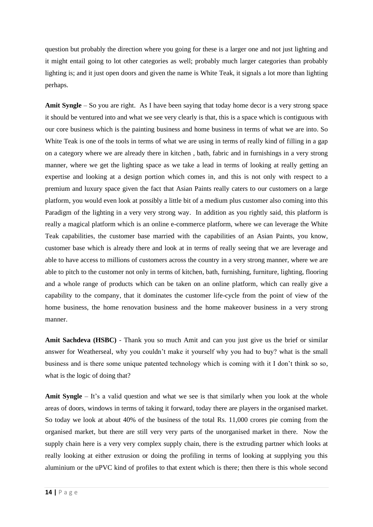question but probably the direction where you going for these is a larger one and not just lighting and it might entail going to lot other categories as well; probably much larger categories than probably lighting is; and it just open doors and given the name is White Teak, it signals a lot more than lighting perhaps.

**Amit Syngle** – So you are right. As I have been saying that today home decor is a very strong space it should be ventured into and what we see very clearly is that, this is a space which is contiguous with our core business which is the painting business and home business in terms of what we are into. So White Teak is one of the tools in terms of what we are using in terms of really kind of filling in a gap on a category where we are already there in kitchen , bath, fabric and in furnishings in a very strong manner, where we get the lighting space as we take a lead in terms of looking at really getting an expertise and looking at a design portion which comes in, and this is not only with respect to a premium and luxury space given the fact that Asian Paints really caters to our customers on a large platform, you would even look at possibly a little bit of a medium plus customer also coming into this Paradigm of the lighting in a very very strong way. In addition as you rightly said, this platform is really a magical platform which is an online e-commerce platform, where we can leverage the White Teak capabilities, the customer base married with the capabilities of an Asian Paints, you know, customer base which is already there and look at in terms of really seeing that we are leverage and able to have access to millions of customers across the country in a very strong manner, where we are able to pitch to the customer not only in terms of kitchen, bath, furnishing, furniture, lighting, flooring and a whole range of products which can be taken on an online platform, which can really give a capability to the company, that it dominates the customer life-cycle from the point of view of the home business, the home renovation business and the home makeover business in a very strong manner.

**Amit Sachdeva (HSBC)** - Thank you so much Amit and can you just give us the brief or similar answer for Weatherseal, why you couldn't make it yourself why you had to buy? what is the small business and is there some unique patented technology which is coming with it I don't think so so, what is the logic of doing that?

**Amit Syngle** – It's a valid question and what we see is that similarly when you look at the whole areas of doors, windows in terms of taking it forward, today there are players in the organised market. So today we look at about 40% of the business of the total Rs. 11,000 crores pie coming from the organised market, but there are still very very parts of the unorganised market in there. Now the supply chain here is a very very complex supply chain, there is the extruding partner which looks at really looking at either extrusion or doing the profiling in terms of looking at supplying you this aluminium or the uPVC kind of profiles to that extent which is there; then there is this whole second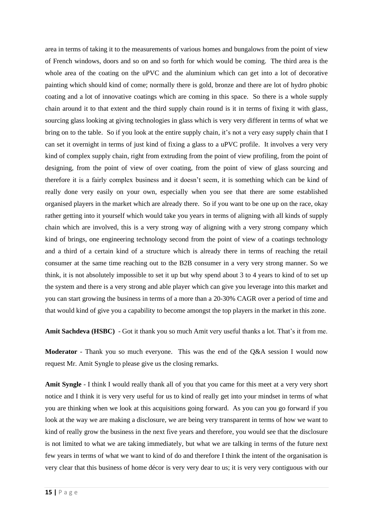area in terms of taking it to the measurements of various homes and bungalows from the point of view of French windows, doors and so on and so forth for which would be coming. The third area is the whole area of the coating on the uPVC and the aluminium which can get into a lot of decorative painting which should kind of come; normally there is gold, bronze and there are lot of hydro phobic coating and a lot of innovative coatings which are coming in this space. So there is a whole supply chain around it to that extent and the third supply chain round is it in terms of fixing it with glass, sourcing glass looking at giving technologies in glass which is very very different in terms of what we bring on to the table. So if you look at the entire supply chain, it's not a very easy supply chain that I can set it overnight in terms of just kind of fixing a glass to a uPVC profile. It involves a very very kind of complex supply chain, right from extruding from the point of view profiling, from the point of designing, from the point of view of over coating, from the point of view of glass sourcing and therefore it is a fairly complex business and it doesn't seem, it is something which can be kind of really done very easily on your own, especially when you see that there are some established organised players in the market which are already there. So if you want to be one up on the race, okay rather getting into it yourself which would take you years in terms of aligning with all kinds of supply chain which are involved, this is a very strong way of aligning with a very strong company which kind of brings, one engineering technology second from the point of view of a coatings technology and a third of a certain kind of a structure which is already there in terms of reaching the retail consumer at the same time reaching out to the B2B consumer in a very very strong manner. So we think, it is not absolutely impossible to set it up but why spend about 3 to 4 years to kind of to set up the system and there is a very strong and able player which can give you leverage into this market and you can start growing the business in terms of a more than a 20-30% CAGR over a period of time and that would kind of give you a capability to become amongst the top players in the market in this zone.

**Amit Sachdeva (HSBC)** - Got it thank you so much Amit very useful thanks a lot. That's it from me.

**Moderator** - Thank you so much everyone. This was the end of the Q&A session I would now request Mr. Amit Syngle to please give us the closing remarks.

**Amit Syngle** - I think I would really thank all of you that you came for this meet at a very very short notice and I think it is very very useful for us to kind of really get into your mindset in terms of what you are thinking when we look at this acquisitions going forward. As you can you go forward if you look at the way we are making a disclosure, we are being very transparent in terms of how we want to kind of really grow the business in the next five years and therefore, you would see that the disclosure is not limited to what we are taking immediately, but what we are talking in terms of the future next few years in terms of what we want to kind of do and therefore I think the intent of the organisation is very clear that this business of home décor is very very dear to us; it is very very contiguous with our